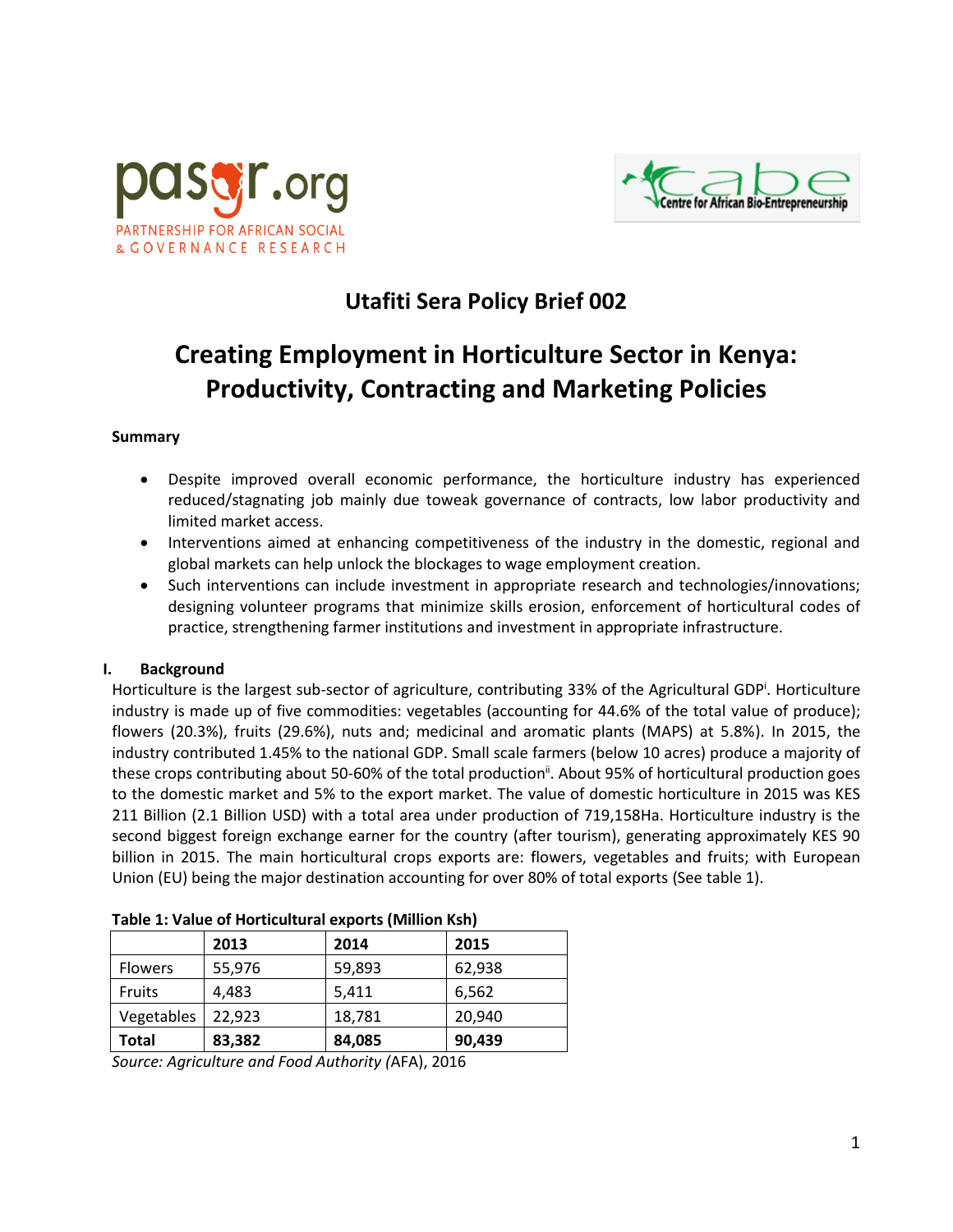



## **Utafiti Sera Policy Brief 002**

# **Creating Employment in Horticulture Sector in Kenya: Productivity, Contracting and Marketing Policies**

#### **Summary**

- Despite improved overall economic performance, the horticulture industry has experienced reduced/stagnating job mainly due toweak governance of contracts, low labor productivity and limited market access.
- Interventions aimed at enhancing competitiveness of the industry in the domestic, regional and global markets can help unlock the blockages to wage employment creation.
- Such interventions can include investment in appropriate research and technologies/innovations; designing volunteer programs that minimize skills erosion, enforcement of horticultural codes of practice, strengthening farmer institutions and investment in appropriate infrastructure.

## **I. Background**

Horticulture is the largest sub-sector of agriculture, contributing 33% of the Agricultural GDP<sup>i</sup>. Horticulture industry is made up of five commodities: vegetables (accounting for 44.6% of the total value of produce); flowers (20.3%), fruits (29.6%), nuts and; medicinal and aromatic plants (MAPS) at 5.8%). In 2015, the industry contributed 1.45% to the national GDP. Small scale farmers (below 10 acres) produce a majority of these crops contributing about 50-60% of the total production<sup>ii</sup>. About 95% of horticultural production goes to the domestic market and 5% to the export market. The value of domestic horticulture in 2015 was KES 211 Billion (2.1 Billion USD) with a total area under production of 719,158Ha. Horticulture industry is the second biggest foreign exchange earner for the country (after tourism), generating approximately KES 90 billion in 2015. The main horticultural crops exports are: flowers, vegetables and fruits; with European Union (EU) being the major destination accounting for over 80% of total exports (See table 1).

|                | 2013   | 2014   | 2015   |
|----------------|--------|--------|--------|
| <b>Flowers</b> | 55,976 | 59,893 | 62,938 |
| <b>Fruits</b>  | 4,483  | 5,411  | 6,562  |
| Vegetables     | 22,923 | 18,781 | 20,940 |
| <b>Total</b>   | 83,382 | 84,085 | 90,439 |

**Table 1: Value of Horticultural exports (Million Ksh)**

*Source: Agriculture and Food Authority (*AFA), 2016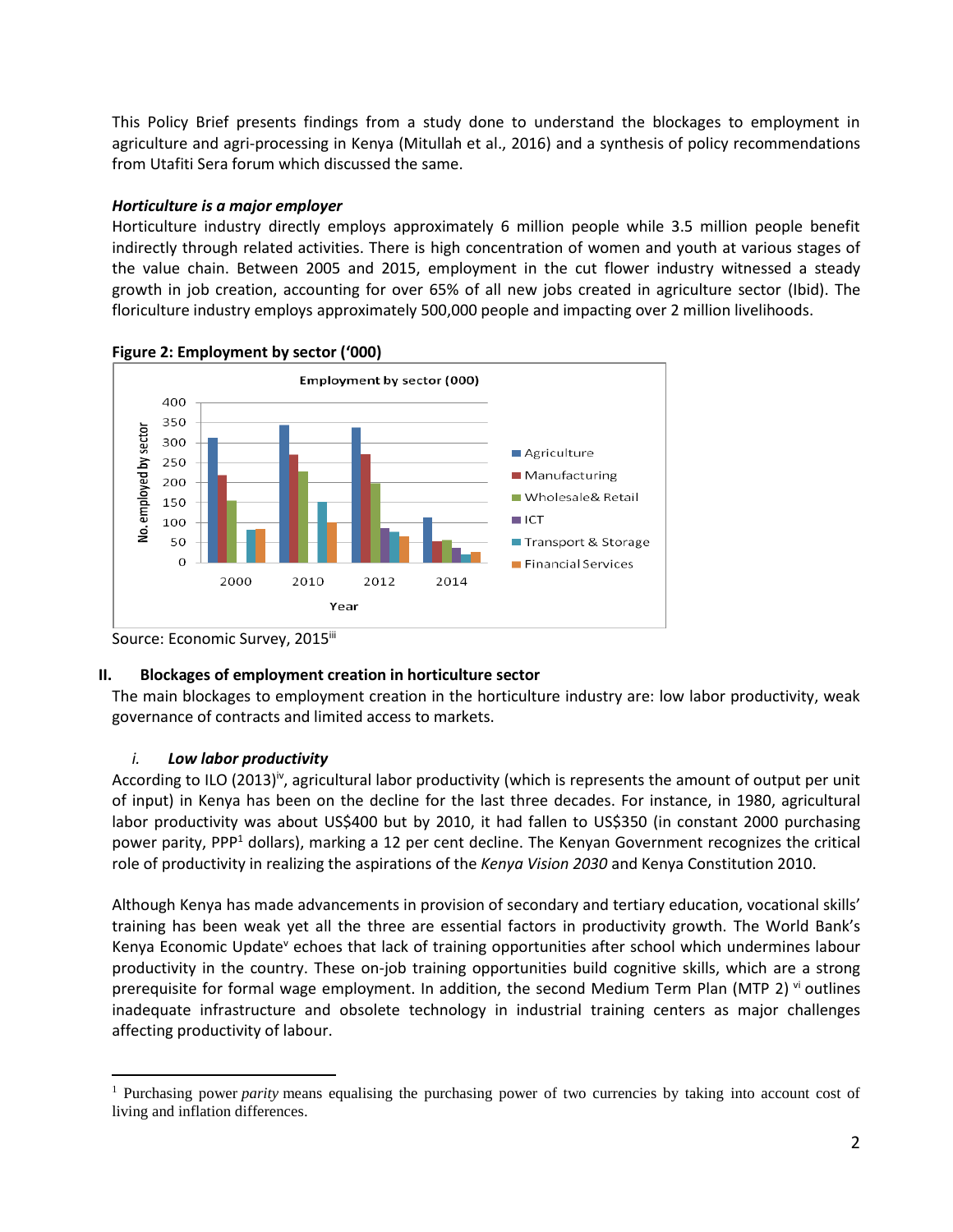This Policy Brief presents findings from a study done to understand the blockages to employment in agriculture and agri-processing in Kenya (Mitullah et al., 2016) and a synthesis of policy recommendations from Utafiti Sera forum which discussed the same.

## *Horticulture is a major employer*

Horticulture industry directly employs approximately 6 million people while 3.5 million people benefit indirectly through related activities. There is high concentration of women and youth at various stages of the value chain. Between 2005 and 2015, employment in the cut flower industry witnessed a steady growth in job creation, accounting for over 65% of all new jobs created in agriculture sector (Ibid). The floriculture industry employs approximately 500,000 people and impacting over 2 million livelihoods.





## **II. Blockages of employment creation in horticulture sector**

The main blockages to employment creation in the horticulture industry are: low labor productivity, weak governance of contracts and limited access to markets.

## *i. Low labor productivity*

 $\overline{a}$ 

According to ILO (2013)<sup>iv</sup>, agricultural labor productivity (which is represents the amount of output per unit of input) in Kenya has been on the decline for the last three decades. For instance, in 1980, agricultural labor productivity was about US\$400 but by 2010, it had fallen to US\$350 (in constant 2000 purchasing power parity, PPP<sup>1</sup> dollars), marking a 12 per cent decline. The Kenyan Government recognizes the critical role of productivity in realizing the aspirations of the *Kenya Vision 2030* and Kenya Constitution 2010.

Although Kenya has made advancements in provision of secondary and tertiary education, vocational skills' training has been weak yet all the three are essential factors in productivity growth. The World Bank's Kenya Economic Update<sup>v</sup> echoes that lack of training opportunities after school which undermines labour productivity in the country. These on-job training opportunities build cognitive skills, which are a strong prerequisite for formal wage employment. In addition, the second Medium Term Plan (MTP 2)  $\dot{v}$  outlines inadequate infrastructure and obsolete technology in industrial training centers as major challenges affecting productivity of labour.

Source: Economic Survey, 2015iii

<sup>1</sup> Purchasing power *parity* means equalising the purchasing power of two currencies by taking into account cost of living and inflation differences.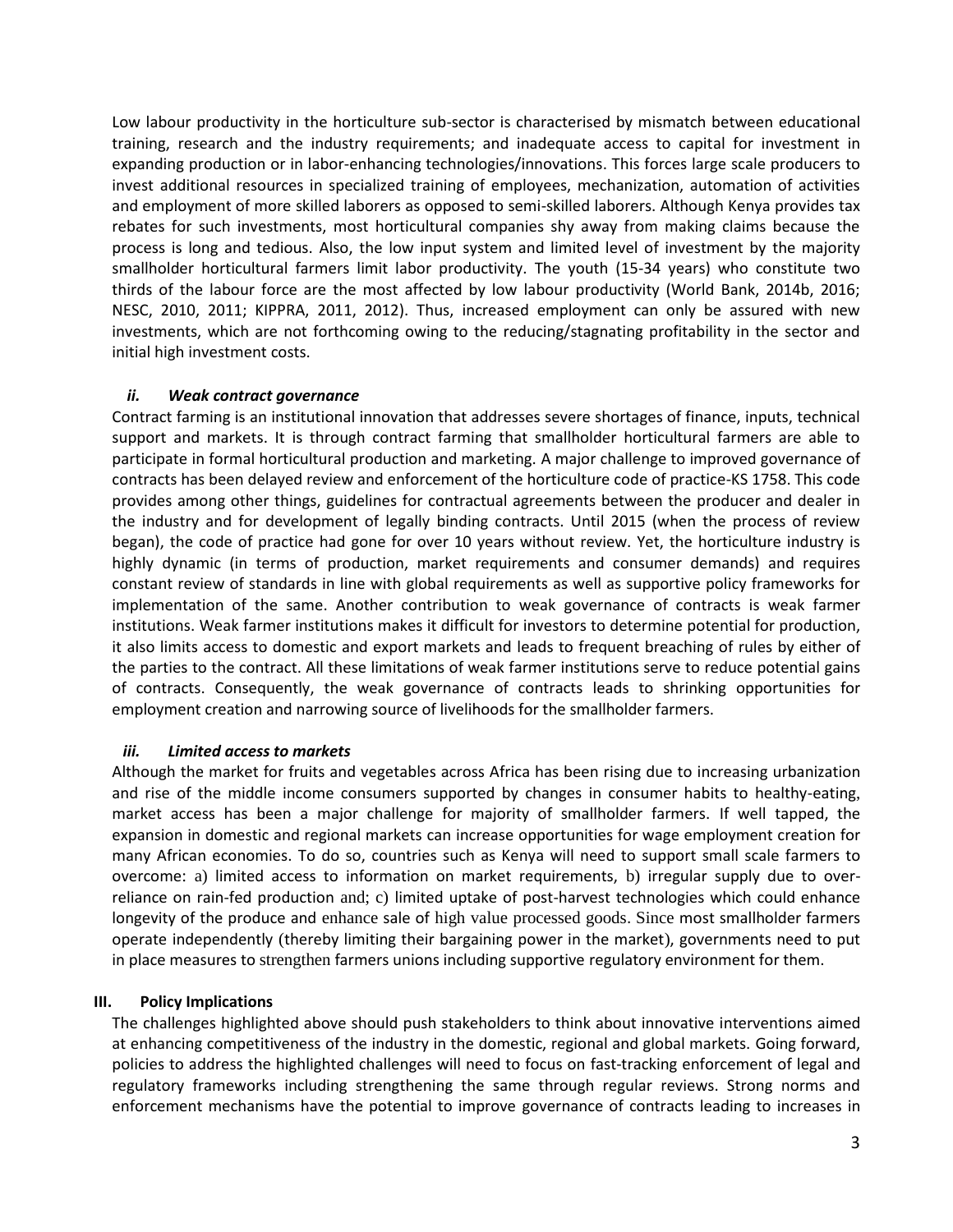Low labour productivity in the horticulture sub-sector is characterised by mismatch between educational training, research and the industry requirements; and inadequate access to capital for investment in expanding production or in labor-enhancing technologies/innovations. This forces large scale producers to invest additional resources in specialized training of employees, mechanization, automation of activities and employment of more skilled laborers as opposed to semi-skilled laborers. Although Kenya provides tax rebates for such investments, most horticultural companies shy away from making claims because the process is long and tedious. Also, the low input system and limited level of investment by the majority smallholder horticultural farmers limit labor productivity. The youth (15-34 years) who constitute two thirds of the labour force are the most affected by low labour productivity (World Bank, 2014b, 2016; NESC, 2010, 2011; KIPPRA, 2011, 2012). Thus, increased employment can only be assured with new investments, which are not forthcoming owing to the reducing/stagnating profitability in the sector and initial high investment costs.

#### *ii. Weak contract governance*

Contract farming is an institutional innovation that addresses severe shortages of finance, inputs, technical support and markets. It is through contract farming that smallholder horticultural farmers are able to participate in formal horticultural production and marketing. A major challenge to improved governance of contracts has been delayed review and enforcement of the horticulture code of practice-KS 1758. This code provides among other things, guidelines for contractual agreements between the producer and dealer in the industry and for development of legally binding contracts. Until 2015 (when the process of review began), the code of practice had gone for over 10 years without review. Yet, the horticulture industry is highly dynamic (in terms of production, market requirements and consumer demands) and requires constant review of standards in line with global requirements as well as supportive policy frameworks for implementation of the same. Another contribution to weak governance of contracts is weak farmer institutions. Weak farmer institutions makes it difficult for investors to determine potential for production, it also limits access to domestic and export markets and leads to frequent breaching of rules by either of the parties to the contract. All these limitations of weak farmer institutions serve to reduce potential gains of contracts. Consequently, the weak governance of contracts leads to shrinking opportunities for employment creation and narrowing source of livelihoods for the smallholder farmers.

## *iii. Limited access to markets*

Although the market for fruits and vegetables across Africa has been rising due to increasing urbanization and rise of the middle income consumers supported by changes in consumer habits to healthy-eating, market access has been a major challenge for majority of smallholder farmers. If well tapped, the expansion in domestic and regional markets can increase opportunities for wage employment creation for many African economies. To do so, countries such as Kenya will need to support small scale farmers to overcome: a) limited access to information on market requirements, b) irregular supply due to overreliance on rain-fed production and; c) limited uptake of post-harvest technologies which could enhance longevity of the produce and enhance sale of high value processed goods. Since most smallholder farmers operate independently (thereby limiting their bargaining power in the market), governments need to put in place measures to strengthen farmers unions including supportive regulatory environment for them.

## **III. Policy Implications**

The challenges highlighted above should push stakeholders to think about innovative interventions aimed at enhancing competitiveness of the industry in the domestic, regional and global markets. Going forward, policies to address the highlighted challenges will need to focus on fast-tracking enforcement of legal and regulatory frameworks including strengthening the same through regular reviews. Strong norms and enforcement mechanisms have the potential to improve governance of contracts leading to increases in